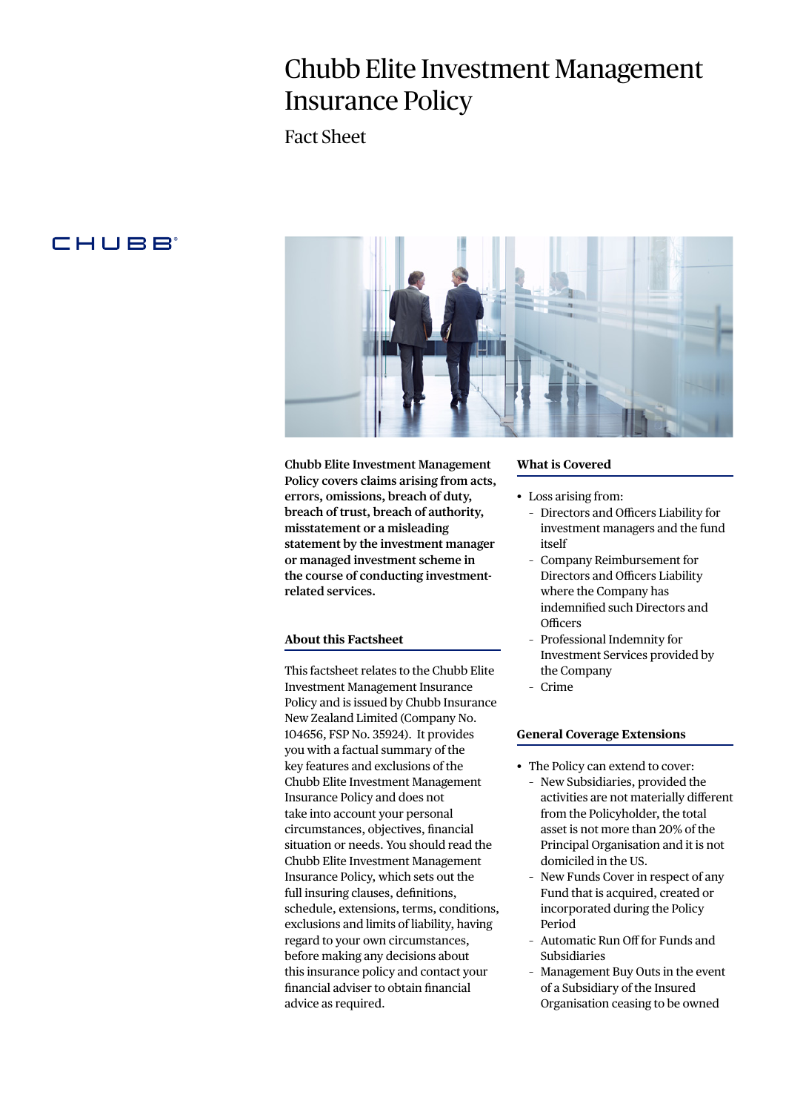# Chubb Elite Investment Management Insurance Policy

Fact Sheet

# **CHUBB**



**Chubb Elite Investment Management Policy covers claims arising from acts, errors, omissions, breach of duty, breach of trust, breach of authority, misstatement or a misleading statement by the investment manager or managed investment scheme in the course of conducting investmentrelated services.** 

## **About this Factsheet**

This factsheet relates to the Chubb Elite Investment Management Insurance Policy and is issued by Chubb Insurance New Zealand Limited (Company No. 104656, FSP No. 35924). It provides you with a factual summary of the key features and exclusions of the Chubb Elite Investment Management Insurance Policy and does not take into account your personal circumstances, objectives, financial situation or needs. You should read the Chubb Elite Investment Management Insurance Policy, which sets out the full insuring clauses, definitions, schedule, extensions, terms, conditions, exclusions and limits of liability, having regard to your own circumstances, before making any decisions about this insurance policy and contact your financial adviser to obtain financial advice as required.

#### **What is Covered**

- Loss arising from:
	- Directors and Officers Liability for investment managers and the fund itself
	- Company Reimbursement for Directors and Officers Liability where the Company has indemnified such Directors and **Officers**
	- Professional Indemnity for Investment Services provided by the Company
	- Crime

#### **General Coverage Extensions**

- The Policy can extend to cover: – New Subsidiaries, provided the activities are not materially different from the Policyholder, the total asset is not more than 20% of the Principal Organisation and it is not domiciled in the US.
	- New Funds Cover in respect of any Fund that is acquired, created or incorporated during the Policy Period
	- Automatic Run Off for Funds and Subsidiaries
	- Management Buy Outs in the event of a Subsidiary of the Insured Organisation ceasing to be owned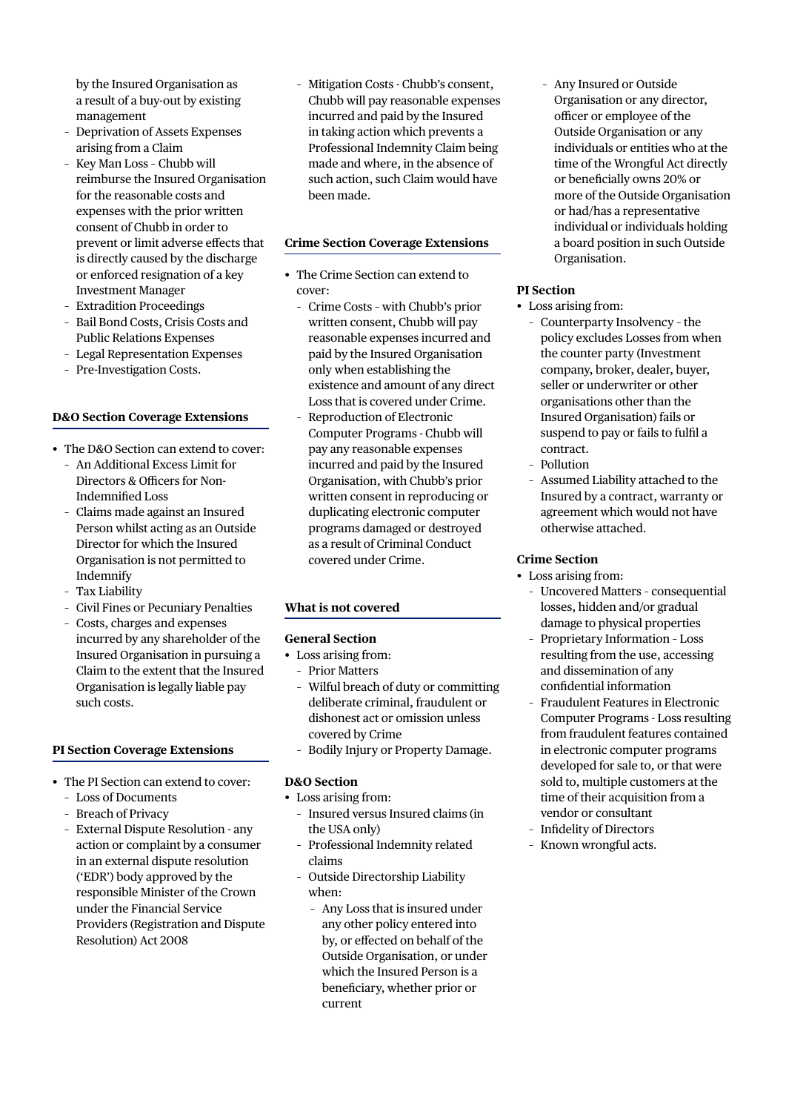by the Insured Organisation as a result of a buy-out by existing management

- Deprivation of Assets Expenses arising from a Claim
- Key Man Loss Chubb will reimburse the Insured Organisation for the reasonable costs and expenses with the prior written consent of Chubb in order to prevent or limit adverse effects that is directly caused by the discharge or enforced resignation of a key Investment Manager
- Extradition Proceedings
- Bail Bond Costs, Crisis Costs and Public Relations Expenses
- Legal Representation Expenses
- Pre-Investigation Costs.

# **D&O Section Coverage Extensions**

- The D&O Section can extend to cover: – An Additional Excess Limit for
	- Directors & Officers for Non-Indemnified Loss
	- Claims made against an Insured Person whilst acting as an Outside Director for which the Insured Organisation is not permitted to Indemnify
	- Tax Liability
	- Civil Fines or Pecuniary Penalties
	- Costs, charges and expenses incurred by any shareholder of the Insured Organisation in pursuing a Claim to the extent that the Insured Organisation is legally liable pay such costs.

#### **PI Section Coverage Extensions**

- The PI Section can extend to cover:
	- Loss of Documents
	- Breach of Privacy
	- External Dispute Resolution any action or complaint by a consumer in an external dispute resolution ('EDR') body approved by the responsible Minister of the Crown under the Financial Service Providers (Registration and Dispute Resolution) Act 2008

– Mitigation Costs - Chubb's consent, Chubb will pay reasonable expenses incurred and paid by the Insured in taking action which prevents a Professional Indemnity Claim being made and where, in the absence of such action, such Claim would have been made.

## **Crime Section Coverage Extensions**

- The Crime Section can extend to cover:
	- Crime Costs with Chubb's prior written consent, Chubb will pay reasonable expenses incurred and paid by the Insured Organisation only when establishing the existence and amount of any direct Loss that is covered under Crime.
	- Reproduction of Electronic Computer Programs - Chubb will pay any reasonable expenses incurred and paid by the Insured Organisation, with Chubb's prior written consent in reproducing or duplicating electronic computer programs damaged or destroyed as a result of Criminal Conduct covered under Crime.

# **What is not covered**

# **General Section**

- Loss arising from:
	- Prior Matters
	- Wilful breach of duty or committing deliberate criminal, fraudulent or dishonest act or omission unless covered by Crime
	- Bodily Injury or Property Damage.

# **D&O Section**

- Loss arising from:
	- Insured versus Insured claims (in the USA only)
	- Professional Indemnity related claims
	- Outside Directorship Liability when:
		- Any Loss that is insured under any other policy entered into by, or effected on behalf of the Outside Organisation, or under which the Insured Person is a beneficiary, whether prior or current

– Any Insured or Outside Organisation or any director, officer or employee of the Outside Organisation or any individuals or entities who at the time of the Wrongful Act directly or beneficially owns 20% or more of the Outside Organisation or had/has a representative individual or individuals holding a board position in such Outside Organisation.

# **PI Section**

- Loss arising from:
	- Counterparty Insolvency the policy excludes Losses from when the counter party (Investment company, broker, dealer, buyer, seller or underwriter or other organisations other than the Insured Organisation) fails or suspend to pay or fails to fulfil a contract.
	- Pollution
	- Assumed Liability attached to the Insured by a contract, warranty or agreement which would not have otherwise attached.

# **Crime Section**

- Loss arising from:
	- Uncovered Matters consequential losses, hidden and/or gradual damage to physical properties
	- Proprietary Information Loss resulting from the use, accessing and dissemination of any confidential information
	- Fraudulent Features in Electronic Computer Programs - Loss resulting from fraudulent features contained in electronic computer programs developed for sale to, or that were sold to, multiple customers at the time of their acquisition from a vendor or consultant
	- Infidelity of Directors
	- Known wrongful acts.